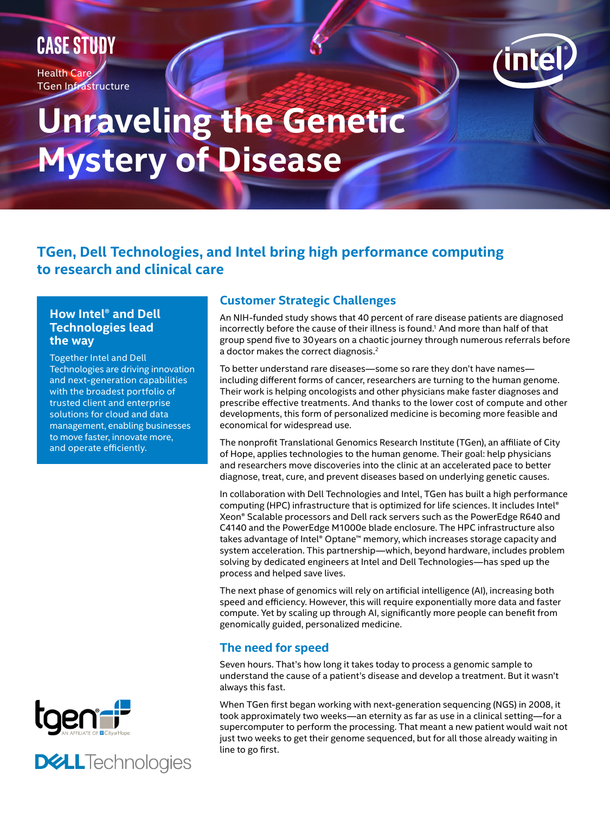# **CASE STUDY**

Health Care TGen Infrastructure



# **Unraveling the Genetic Mystery of Disease**

# **TGen, Dell Technologies, and Intel bring high performance computing to research and clinical care**

#### **How Intel® and Dell Technologies lead the way**

Together Intel and Dell Technologies are driving innovation and next-generation capabilities with the broadest portfolio of trusted client and enterprise solutions for cloud and data management, enabling businesses to move faster, innovate more, and operate efficiently.





# **Customer Strategic Challenges**

An NIH-funded study shows that 40 percent of rare disease patients are diagnosed incorrectly before the cause of their illness is found.<sup>1</sup> And more than half of that group spend five to 30years on a chaotic journey through numerous referrals before a doctor makes the correct diagnosis.<sup>2</sup>

To better understand rare diseases—some so rare they don't have names including different forms of cancer, researchers are turning to the human genome. Their work is helping oncologists and other physicians make faster diagnoses and prescribe effective treatments. And thanks to the lower cost of compute and other developments, this form of personalized medicine is becoming more feasible and economical for widespread use.

The nonprofit Translational Genomics Research Institute (TGen), an affiliate of City of Hope, applies technologies to the human genome. Their goal: help physicians and researchers move discoveries into the clinic at an accelerated pace to better diagnose, treat, cure, and prevent diseases based on underlying genetic causes.

In collaboration with Dell Technologies and Intel, TGen has built a high performance computing (HPC) infrastructure that is optimized for life sciences. It includes Intel® Xeon® Scalable processors and Dell rack servers such as the PowerEdge R640 and C4140 and the PowerEdge M1000e blade enclosure. The HPC infrastructure also takes advantage of Intel® Optane™ memory, which increases storage capacity and system acceleration. This partnership—which, beyond hardware, includes problem solving by dedicated engineers at Intel and Dell Technologies—has sped up the process and helped save lives.

The next phase of genomics will rely on artificial intelligence (AI), increasing both speed and efficiency. However, this will require exponentially more data and faster compute. Yet by scaling up through AI, significantly more people can benefit from genomically guided, personalized medicine.

# **The need for speed**

Seven hours. That's how long it takes today to process a genomic sample to understand the cause of a patient's disease and develop a treatment. But it wasn't always this fast.

When TGen first began working with next-generation sequencing (NGS) in 2008, it took approximately two weeks—an eternity as far as use in a clinical setting—for a supercomputer to perform the processing. That meant a new patient would wait not just two weeks to get their genome sequenced, but for all those already waiting in line to go first.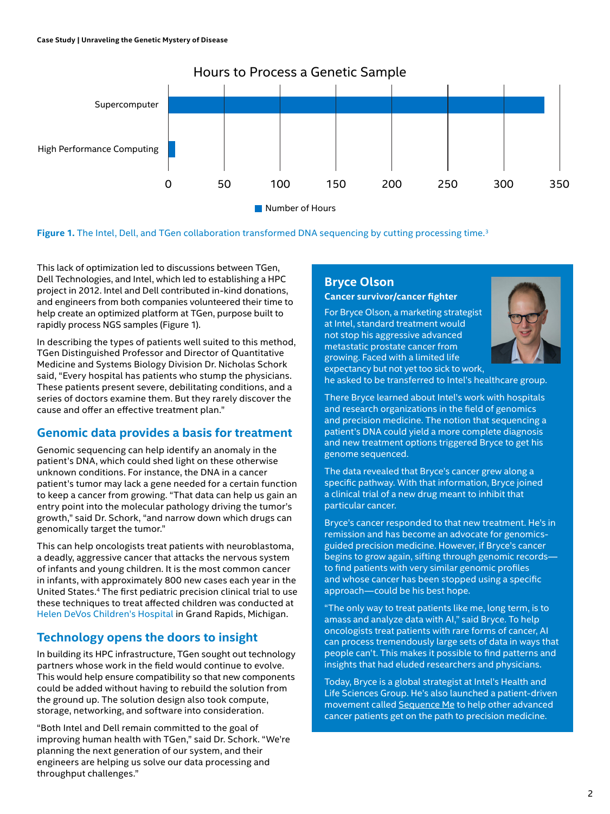

**Figure 1.** The Intel, Dell, and TGen collaboration transformed DNA sequencing by cutting processing time.<sup>3</sup>

This lack of optimization led to discussions between TGen, Dell Technologies, and Intel, which led to establishing a HPC project in 2012. Intel and Dell contributed in-kind donations, and engineers from both companies volunteered their time to help create an optimized platform at TGen, purpose built to rapidly process NGS samples (Figure 1).

In describing the types of patients well suited to this method, TGen Distinguished Professor and Director of Quantitative Medicine and Systems Biology Division Dr. Nicholas Schork said, "Every hospital has patients who stump the physicians. These patients present severe, debilitating conditions, and a series of doctors examine them. But they rarely discover the cause and offer an effective treatment plan."

### **Genomic data provides a basis for treatment**

Genomic sequencing can help identify an anomaly in the patient's DNA, which could shed light on these otherwise unknown conditions. For instance, the DNA in a cancer patient's tumor may lack a gene needed for a certain function to keep a cancer from growing. "That data can help us gain an entry point into the molecular pathology driving the tumor's growth," said Dr. Schork, "and narrow down which drugs can genomically target the tumor."

This can help oncologists treat patients with neuroblastoma, a deadly, aggressive cancer that attacks the nervous system of infants and young children. It is the most common cancer in infants, with approximately 800 new cases each year in the United States.<sup>4</sup> The first pediatric precision clinical trial to use these techniques to treat affected children was conducted at [Helen DeVos Children's Hospital](https://www.detroitnews.com/story/news/local/michigan/2015/04/14/michigan-child-trials-target-genetic-roots-cancers/25801385/) in Grand Rapids, Michigan.

### **Technology opens the doors to insight**

In building its HPC infrastructure, TGen sought out technology partners whose work in the field would continue to evolve. This would help ensure compatibility so that new components could be added without having to rebuild the solution from the ground up. The solution design also took compute, storage, networking, and software into consideration.

"Both Intel and Dell remain committed to the goal of improving human health with TGen," said Dr. Schork. "We're planning the next generation of our system, and their engineers are helping us solve our data processing and throughput challenges."

#### **Bryce Olson Cancer survivor/cancer fighter**

For Bryce Olson, a marketing strategist at Intel, standard treatment would not stop his aggressive advanced metastatic prostate cancer from growing. Faced with a limited life expectancy but not yet too sick to work,



he asked to be transferred to Intel's healthcare group.

There Bryce learned about Intel's work with hospitals and research organizations in the field of genomics and precision medicine. The notion that sequencing a patient's DNA could yield a more complete diagnosis and new treatment options triggered Bryce to get his genome sequenced.

The data revealed that Bryce's cancer grew along a specific pathway. With that information, Bryce joined a clinical trial of a new drug meant to inhibit that particular cancer.

Bryce's cancer responded to that new treatment. He's in remission and has become an advocate for genomicsguided precision medicine. However, if Bryce's cancer begins to grow again, sifting through genomic records to find patients with very similar genomic profiles and whose cancer has been stopped using a specific approach—could be his best hope.

"The only way to treat patients like me, long term, is to amass and analyze data with AI," said Bryce. To help oncologists treat patients with rare forms of cancer, AI can process tremendously large sets of data in ways that people can't. This makes it possible to find patterns and insights that had eluded researchers and physicians.

Today, Bryce is a global strategist at Intel's Health and Life Sciences Group. He's also launched a patient-driven movement called [Sequence Me](https://sequenceme.org) to help other advanced cancer patients get on the path to precision medicine.